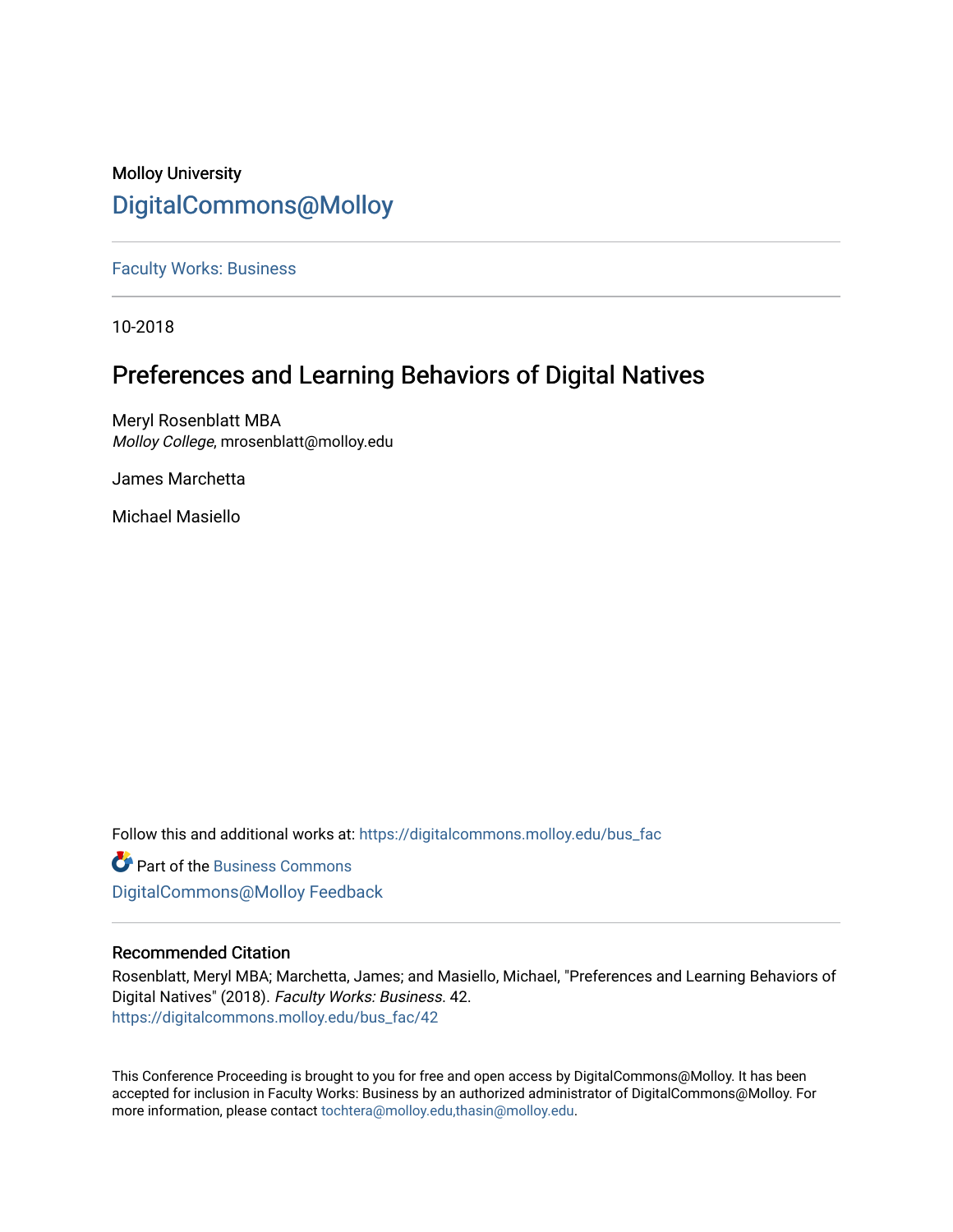# Molloy University [DigitalCommons@Molloy](https://digitalcommons.molloy.edu/)

[Faculty Works: Business](https://digitalcommons.molloy.edu/bus_fac) 

10-2018

# Preferences and Learning Behaviors of Digital Natives

Meryl Rosenblatt MBA Molloy College, mrosenblatt@molloy.edu

James Marchetta

Michael Masiello

Follow this and additional works at: [https://digitalcommons.molloy.edu/bus\\_fac](https://digitalcommons.molloy.edu/bus_fac?utm_source=digitalcommons.molloy.edu%2Fbus_fac%2F42&utm_medium=PDF&utm_campaign=PDFCoverPages)

**C** Part of the [Business Commons](https://network.bepress.com/hgg/discipline/622?utm_source=digitalcommons.molloy.edu%2Fbus_fac%2F42&utm_medium=PDF&utm_campaign=PDFCoverPages) [DigitalCommons@Molloy Feedback](https://molloy.libwizard.com/f/dcfeedback)

# Recommended Citation

Rosenblatt, Meryl MBA; Marchetta, James; and Masiello, Michael, "Preferences and Learning Behaviors of Digital Natives" (2018). Faculty Works: Business. 42. [https://digitalcommons.molloy.edu/bus\\_fac/42](https://digitalcommons.molloy.edu/bus_fac/42?utm_source=digitalcommons.molloy.edu%2Fbus_fac%2F42&utm_medium=PDF&utm_campaign=PDFCoverPages) 

This Conference Proceeding is brought to you for free and open access by DigitalCommons@Molloy. It has been accepted for inclusion in Faculty Works: Business by an authorized administrator of DigitalCommons@Molloy. For more information, please contact [tochtera@molloy.edu,thasin@molloy.edu.](mailto:tochtera@molloy.edu,thasin@molloy.edu)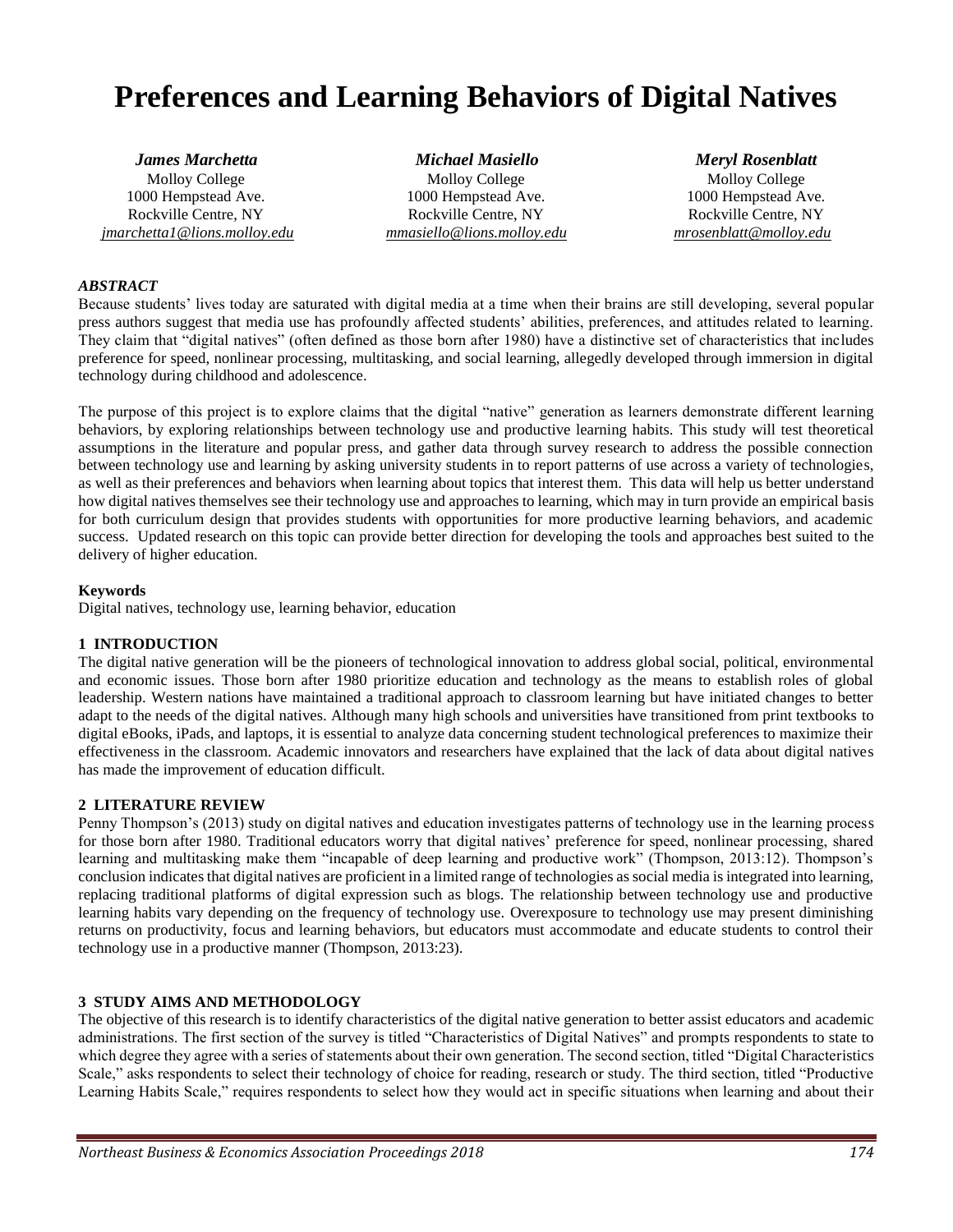# **Preferences and Learning Behaviors of Digital Natives**

*jmarchetta1@lions.molloy.edu mmasiello@lions.molloy.edu mrosenblatt@molloy.edu*

*James Marchetta Michael Masiello Meryl Rosenblatt* Molloy College Molloy College Molloy College Molloy College Molloy College Molloy College 1000 Hempstead Ave. 1000 Hempstead Ave. 1000 Hempstead Ave. Rockville Centre, NY Rockville Centre, NY Rockville Centre, NY

#### *ABSTRACT*

Because students' lives today are saturated with digital media at a time when their brains are still developing, several popular press authors suggest that media use has profoundly affected students' abilities, preferences, and attitudes related to learning. They claim that "digital natives" (often defined as those born after 1980) have a distinctive set of characteristics that includes preference for speed, nonlinear processing, multitasking, and social learning, allegedly developed through immersion in digital technology during childhood and adolescence.

The purpose of this project is to explore claims that the digital "native" generation as learners demonstrate different learning behaviors, by exploring relationships between technology use and productive learning habits. This study will test theoretical assumptions in the literature and popular press, and gather data through survey research to address the possible connection between technology use and learning by asking university students in to report patterns of use across a variety of technologies, as well as their preferences and behaviors when learning about topics that interest them. This data will help us better understand how digital natives themselves see their technology use and approaches to learning, which may in turn provide an empirical basis for both curriculum design that provides students with opportunities for more productive learning behaviors, and academic success. Updated research on this topic can provide better direction for developing the tools and approaches best suited to the delivery of higher education.

#### **Keywords**

Digital natives, technology use, learning behavior, education

#### **1 INTRODUCTION**

The digital native generation will be the pioneers of technological innovation to address global social, political, environmental and economic issues. Those born after 1980 prioritize education and technology as the means to establish roles of global leadership. Western nations have maintained a traditional approach to classroom learning but have initiated changes to better adapt to the needs of the digital natives. Although many high schools and universities have transitioned from print textbooks to digital eBooks, iPads, and laptops, it is essential to analyze data concerning student technological preferences to maximize their effectiveness in the classroom. Academic innovators and researchers have explained that the lack of data about digital natives has made the improvement of education difficult.

#### **2 LITERATURE REVIEW**

Penny Thompson's (2013) study on digital natives and education investigates patterns of technology use in the learning process for those born after 1980. Traditional educators worry that digital natives' preference for speed, nonlinear processing, shared learning and multitasking make them "incapable of deep learning and productive work" (Thompson, 2013:12). Thompson's conclusion indicates that digital natives are proficient in a limited range of technologies as social media is integrated into learning, replacing traditional platforms of digital expression such as blogs. The relationship between technology use and productive learning habits vary depending on the frequency of technology use. Overexposure to technology use may present diminishing returns on productivity, focus and learning behaviors, but educators must accommodate and educate students to control their technology use in a productive manner (Thompson, 2013:23).

## **3 STUDY AIMS AND METHODOLOGY**

The objective of this research is to identify characteristics of the digital native generation to better assist educators and academic administrations. The first section of the survey is titled "Characteristics of Digital Natives" and prompts respondents to state to which degree they agree with a series of statements about their own generation. The second section, titled "Digital Characteristics" Scale," asks respondents to select their technology of choice for reading, research or study. The third section, titled "Productive Learning Habits Scale," requires respondents to select how they would act in specific situations when learning and about their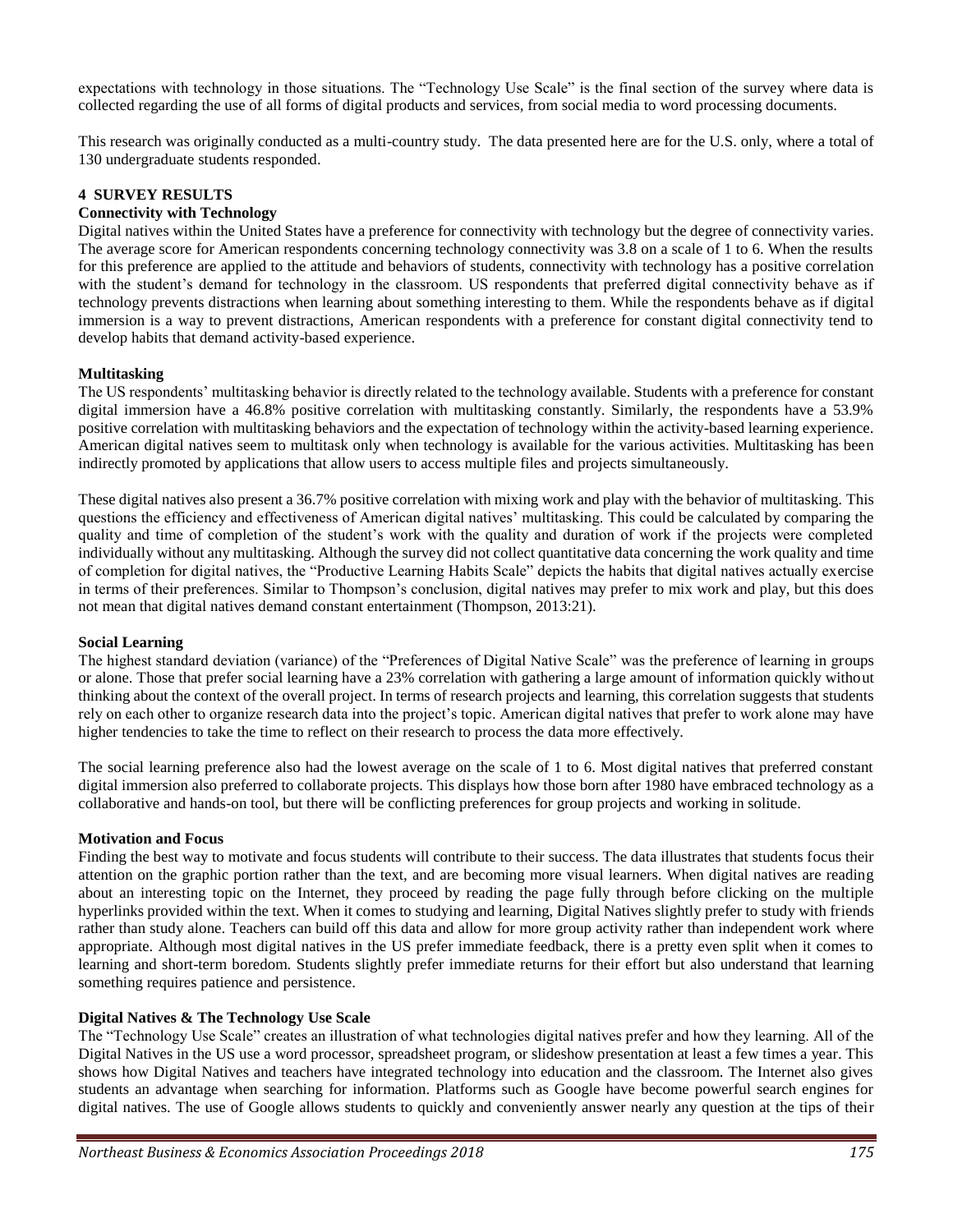expectations with technology in those situations. The "Technology Use Scale" is the final section of the survey where data is collected regarding the use of all forms of digital products and services, from social media to word processing documents.

This research was originally conducted as a multi-country study. The data presented here are for the U.S. only, where a total of 130 undergraduate students responded.

# **4 SURVEY RESULTS**

## **Connectivity with Technology**

Digital natives within the United States have a preference for connectivity with technology but the degree of connectivity varies. The average score for American respondents concerning technology connectivity was 3.8 on a scale of 1 to 6. When the results for this preference are applied to the attitude and behaviors of students, connectivity with technology has a positive correlation with the student's demand for technology in the classroom. US respondents that preferred digital connectivity behave as if technology prevents distractions when learning about something interesting to them. While the respondents behave as if digital immersion is a way to prevent distractions, American respondents with a preference for constant digital connectivity tend to develop habits that demand activity-based experience.

#### **Multitasking**

The US respondents' multitasking behavior is directly related to the technology available. Students with a preference for constant digital immersion have a 46.8% positive correlation with multitasking constantly. Similarly, the respondents have a 53.9% positive correlation with multitasking behaviors and the expectation of technology within the activity-based learning experience. American digital natives seem to multitask only when technology is available for the various activities. Multitasking has been indirectly promoted by applications that allow users to access multiple files and projects simultaneously.

These digital natives also present a 36.7% positive correlation with mixing work and play with the behavior of multitasking. This questions the efficiency and effectiveness of American digital natives' multitasking. This could be calculated by comparing the quality and time of completion of the student's work with the quality and duration of work if the projects were completed individually without any multitasking. Although the survey did not collect quantitative data concerning the work quality and time of completion for digital natives, the "Productive Learning Habits Scale" depicts the habits that digital natives actually exercise in terms of their preferences. Similar to Thompson's conclusion, digital natives may prefer to mix work and play, but this does not mean that digital natives demand constant entertainment (Thompson, 2013:21).

#### **Social Learning**

The highest standard deviation (variance) of the "Preferences of Digital Native Scale" was the preference of learning in groups or alone. Those that prefer social learning have a 23% correlation with gathering a large amount of information quickly without thinking about the context of the overall project. In terms of research projects and learning, this correlation suggests that students rely on each other to organize research data into the project's topic. American digital natives that prefer to work alone may have higher tendencies to take the time to reflect on their research to process the data more effectively.

The social learning preference also had the lowest average on the scale of 1 to 6. Most digital natives that preferred constant digital immersion also preferred to collaborate projects. This displays how those born after 1980 have embraced technology as a collaborative and hands-on tool, but there will be conflicting preferences for group projects and working in solitude.

#### **Motivation and Focus**

Finding the best way to motivate and focus students will contribute to their success. The data illustrates that students focus their attention on the graphic portion rather than the text, and are becoming more visual learners. When digital natives are reading about an interesting topic on the Internet, they proceed by reading the page fully through before clicking on the multiple hyperlinks provided within the text. When it comes to studying and learning, Digital Natives slightly prefer to study with friends rather than study alone. Teachers can build off this data and allow for more group activity rather than independent work where appropriate. Although most digital natives in the US prefer immediate feedback, there is a pretty even split when it comes to learning and short-term boredom. Students slightly prefer immediate returns for their effort but also understand that learning something requires patience and persistence.

#### **Digital Natives & The Technology Use Scale**

The "Technology Use Scale" creates an illustration of what technologies digital natives prefer and how they learning. All of the Digital Natives in the US use a word processor, spreadsheet program, or slideshow presentation at least a few times a year. This shows how Digital Natives and teachers have integrated technology into education and the classroom. The Internet also gives students an advantage when searching for information. Platforms such as Google have become powerful search engines for digital natives. The use of Google allows students to quickly and conveniently answer nearly any question at the tips of their